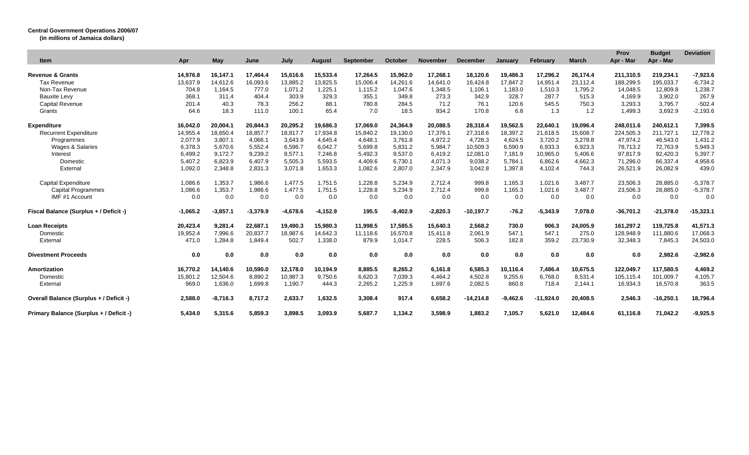## **Central Government Operations 2006/07**

**(in millions of Jamaica dollars)**

| <b>Item</b>                             | Apr        | May        | June       | July       | Auaust     | September | October    | November   | <b>December</b> | <b>January</b> | February    | <b>March</b> | Prov<br>Apr - Mar | <b>Budget</b><br>Apr - Mar | <b>Deviation</b> |
|-----------------------------------------|------------|------------|------------|------------|------------|-----------|------------|------------|-----------------|----------------|-------------|--------------|-------------------|----------------------------|------------------|
| <b>Revenue &amp; Grants</b>             | 14,976.8   | 16,147.1   | 17,464.4   | 15,616.6   | 15,533.4   | 17,264.5  | 15,962.0   | 17,268.1   | 18,120.6        | 19,486.3       | 17,296.2    | 26,174.4     | 211,310.5         | 219,234.1                  | $-7,923.6$       |
| <b>Tax Revenue</b>                      | 13,637.9   | 14,612.6   | 16,093.6   | 13,885.2   | 13,825.5   | 15,006.4  | 14,261.6   | 14,641.0   | 16,424.8        | 17,847.2       | 14,951.4    | 23,112.4     | 188,299.5         | 195,033.7                  | $-6,734.2$       |
| Non-Tax Revenue                         | 704.8      | 1,164.5    | 777.0      | 1.071.2    | 1,225.1    | 1,115.2   | 1,047.6    | 1,348.5    | 1,106.1         | 1,183.0        | 1,510.3     | 1,795.2      | 14,048.5          | 12,809.8                   | 1,238.7          |
| <b>Bauxite Levy</b>                     | 368.1      | 311.4      | 404.4      | 303.9      | 329.3      | 355.1     | 349.8      | 273.3      | 342.9           | 328.7          | 287.7       | 515.3        | 4.169.9           | 3,902.0                    | 267.9            |
| <b>Capital Revenue</b>                  | 201.4      | 40.3       | 78.3       | 256.2      | 88.1       | 780.8     | 284.5      | 71.2       | 76.1            | 120.6          | 545.5       | 750.3        | 3,293.3           | 3,795.7                    | $-502.4$         |
| Grants                                  | 64.6       | 18.3       | 111.0      | 100.1      | 65.4       | 7.0       | 18.5       | 934.2      | 170.8           | 6.8            | 1.3         | 1.2          | 1,499.3           | 3,692.9                    | $-2,193.6$       |
| <b>Expenditure</b>                      | 16.042.0   | 20.004.1   | 20.844.3   | 20.295.2   | 19.686.3   | 17,069.0  | 24.364.9   | 20.088.5   | 28,318.4        | 19.562.5       | 22.640.1    | 19.096.4     | 248.011.6         | 240.612.1                  | 7.399.5          |
| <b>Recurrent Expenditure</b>            | 14,955.4   | 18,650.4   | 18,857.7   | 18,817.7   | 17,934.8   | 15,840.2  | 19,130.0   | 17,376.    | 27,318.6        | 18,397.2       | 21,618.5    | 15,608.7     | 224,505.3         | 211,727.1                  | 12,778.2         |
| Programmes                              | 2,077.9    | 3,807.1    | 4,066.1    | 3.643.9    | 4.645.4    | 4,648.1   | 3.761.8    | 4,972.2    | 4,728.3         | 4,624.5        | 3,720.2     | 3,278.8      | 47,974.2          | 46,543.0                   | 1,431.2          |
| Wages & Salaries                        | 6,378.3    | 5,670.6    | 5,552.4    | 6,596.7    | 6,042.7    | 5,699.8   | 5,831.2    | 5,984.7    | 10,509.3        | 6,590.9        | 6,933.3     | 6,923.3      | 78,713.2          | 72,763.9                   | 5,949.3          |
| Interest                                | 6,499.2    | 9,172.7    | 9,239.2    | 8,577.1    | 7,246.8    | 5,492.3   | 9,537.0    | 6,419.2    | 12,081.0        | 7,181.9        | 10,965.0    | 5,406.6      | 97,817.9          | 92,420.3                   | 5,397.7          |
| Domestic                                | 5,407.2    | 6,823.9    | 6,407.9    | 5,505.3    | 5,593.5    | 4,409.6   | 6,730.1    | 4,071.3    | 9,038.2         | 5,784.1        | 6,862.6     | 4,662.3      | 71,296.0          | 66,337.4                   | 4,958.6          |
| External                                | 1,092.0    | 2,348.8    | 2,831.3    | 3.071.8    | 1,653.3    | 1,082.6   | 2,807.0    | 2,347.9    | 3,042.8         | 1,397.8        | 4,102.4     | 744.3        | 26,521.9          | 26,082.9                   | 439.0            |
| <b>Capital Expenditure</b>              | 1,086.6    | 1.353.7    | 1,986.6    | 1.477.5    | 1.751.5    | 1,228.8   | 5.234.9    | 2.712.4    | 999.8           | 1,165.3        | 1.021.6     | 3.487.7      | 23,506.3          | 28,885.0                   | $-5,378.7$       |
| <b>Capital Programmes</b>               | 1,086.6    | 1,353.7    | 1,986.6    | 1,477.5    | 1,751.5    | 1,228.8   | 5,234.9    | 2,712.4    | 999.8           | 1,165.3        | 1,021.6     | 3,487.7      | 23,506.3          | 28,885.0                   | $-5,378.7$       |
| IMF #1 Account                          | 0.0        | 0.0        | 0.0        | 0.0        | 0.0        | 0.0       | 0.0        | 0.0        | 0.0             | 0.0            | 0.0         | 0.0          | 0.0               | 0.0                        | 0.0              |
| Fiscal Balance (Surplus + / Deficit -)  | $-1.065.2$ | $-3.857.1$ | $-3,379.9$ | $-4.678.6$ | $-4,152.9$ | 195.5     | $-8,402.9$ | $-2,820.3$ | $-10, 197.7$    | $-76.2$        | $-5,343.9$  | 7,078.0      | $-36,701.2$       | $-21,378.0$                | $-15,323.1$      |
| <b>Loan Receipts</b>                    | 20,423.4   | 9.281.4    | 22,687.1   | 19.490.3   | 15.980.3   | 11,998.5  | 17,585.5   | 15.640.3   | 2,568.2         | 730.0          | 906.3       | 24,005.9     | 161,297.2         | 119,725.8                  | 41,571.3         |
| Domestic                                | 19,952.4   | 7.996.6    | 20,837.7   | 18.987.6   | 14,642.3   | 11.118.6  | 16,570.8   | 15.411.8   | 2,061.9         | 547.1          | 547.1       | 275.0        | 128,948.9         | 111,880.6                  | 17,068.3         |
| External                                | 471.0      | 1.284.8    | 1,849.4    | 502.7      | 1,338.0    | 879.9     | 1.014.7    | 228.5      | 506.3           | 182.8          | 359.2       | 23,730.9     | 32,348.3          | 7,845.3                    | 24,503.0         |
| <b>Divestment Proceeds</b>              | 0.0        | 0.0        | 0.0        | 0.0        | 0.0        | 0.0       | 0.0        | 0.0        | 0.0             | 0.0            | 0.0         | 0.0          | 0.0               | 2,982.6                    | $-2,982.6$       |
| Amortization                            | 16.770.2   | 14,140.6   | 10,590.0   | 12,178.0   | 10,194.9   | 8,885.5   | 8,265.2    | 6,161.8    | 6,585.3         | 10,116.4       | 7,486.4     | 10,675.5     | 122,049.7         | 117,580.5                  | 4,469.2          |
| Domestic                                | 15,801.2   | 12,504.6   | 8,890.2    | 10,987.3   | 9,750.6    | 6,620.3   | 7,039.3    | 4,464.2    | 4,502.8         | 9,255.6        | 6,768.0     | 8,531.4      | 105,115.4         | 101,009.7                  | 4,105.7          |
| External                                | 969.0      | 1,636.0    | 1,699.8    | 1,190.7    | 444.3      | 2,265.2   | 1,225.9    | 1,697.6    | 2,082.5         | 860.8          | 718.4       | 2,144.1      | 16,934.3          | 16,570.8                   | 363.5            |
| Overall Balance (Surplus + / Deficit -) | 2.588.0    | $-8.716.3$ | 8.717.2    | 2.633.7    | 1,632.5    | 3.308.4   | 917.4      | 6.658.2    | $-14.214.8$     | $-9.462.6$     | $-11.924.0$ | 20,408.5     | 2,546.3           | $-16,250.1$                | 18.796.4         |
| Primary Balance (Surplus + / Deficit -) | 5.434.0    | 5,315.6    | 5,859.3    | 3,898.5    | 3,093.9    | 5.687.7   | 1,134.2    | 3,598.9    | 1.883.2         | 7,105.7        | 5.621.0     | 12,484.6     | 61.116.8          | 71,042.2                   | $-9,925.5$       |